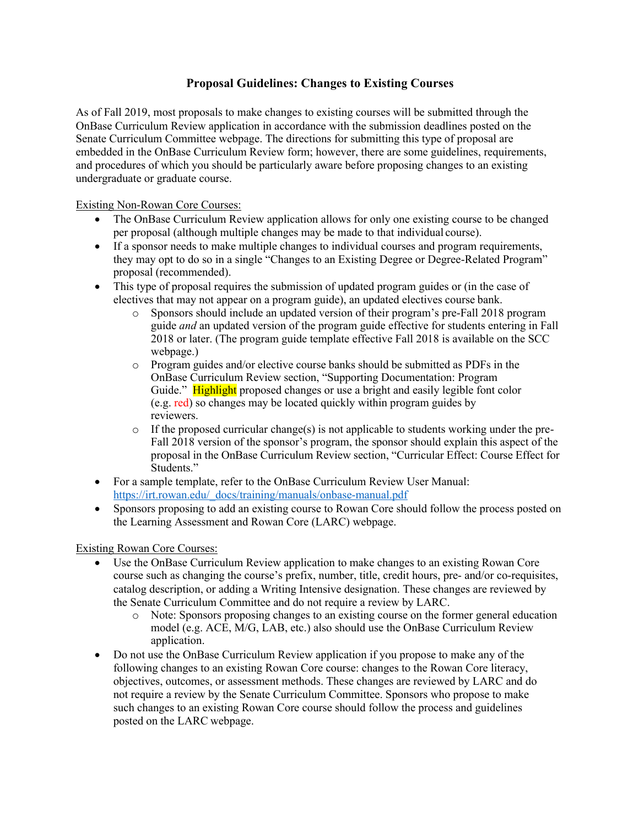## **Proposal Guidelines: Changes to Existing Courses**

As of Fall 2019, most proposals to make changes to existing courses will be submitted through the OnBase Curriculum Review application in accordance with the submission deadlines posted on the Senate Curriculum Committee webpage. The directions for submitting this type of proposal are embedded in the OnBase Curriculum Review form; however, there are some guidelines, requirements, and procedures of which you should be particularly aware before proposing changes to an existing undergraduate or graduate course.

Existing Non-Rowan Core Courses:

- The OnBase Curriculum Review application allows for only one existing course to be changed per proposal (although multiple changes may be made to that individual course).
- If a sponsor needs to make multiple changes to individual courses and program requirements, they may opt to do so in a single "Changes to an Existing Degree or Degree-Related Program" proposal (recommended).
- This type of proposal requires the submission of updated program guides or (in the case of electives that may not appear on a program guide), an updated electives course bank.
	- o Sponsors should include an updated version of their program's pre-Fall 2018 program guide *and* an updated version of the program guide effective for students entering in Fall 2018 or later. (The program guide template effective Fall 2018 is available on the SCC webpage.)
	- $\circ$  Program guides and/or elective course banks should be submitted as PDFs in the OnBase Curriculum Review section, "Supporting Documentation: Program Guide." Highlight proposed changes or use a bright and easily legible font color (e.g. red) so changes may be located quickly within program guides by reviewers.
	- $\circ$  If the proposed curricular change(s) is not applicable to students working under the pre-Fall 2018 version of the sponsor's program, the sponsor should explain this aspect of the proposal in the OnBase Curriculum Review section, "Curricular Effect: Course Effect for Students."
- For a sample template, refer to the OnBase Curriculum Review User Manual: https://irt.rowan.edu/\_docs/training/manuals/onbase-manual.pdf
- Sponsors proposing to add an existing course to Rowan Core should follow the process posted on the Learning Assessment and Rowan Core (LARC) webpage.

Existing Rowan Core Courses:

- Use the OnBase Curriculum Review application to make changes to an existing Rowan Core course such as changing the course's prefix, number, title, credit hours, pre- and/or co-requisites, catalog description, or adding a Writing Intensive designation. These changes are reviewed by the Senate Curriculum Committee and do not require a review by LARC.
	- o Note: Sponsors proposing changes to an existing course on the former general education model (e.g. ACE, M/G, LAB, etc.) also should use the OnBase Curriculum Review application.
- Do not use the OnBase Curriculum Review application if you propose to make any of the following changes to an existing Rowan Core course: changes to the Rowan Core literacy, objectives, outcomes, or assessment methods. These changes are reviewed by LARC and do not require a review by the Senate Curriculum Committee. Sponsors who propose to make such changes to an existing Rowan Core course should follow the process and guidelines posted on the LARC webpage.